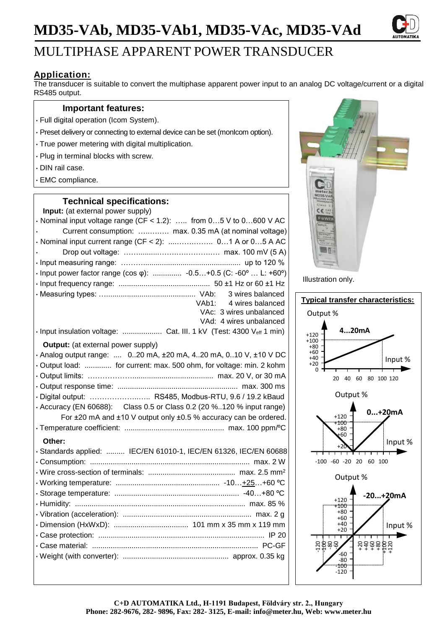# **MD35-VAb, MD35-VAb1, MD35-VAc, MD35-VAd**



## MULTIPHASE APPARENT POWER TRANSDUCER

### **Application:**

The transducer is suitable to convert the multiphase apparent power input to an analog DC voltage/current or a digital RS485 output.

### **Important features:**

- Full digital operation (Icom System).
- Preset delivery or connecting to external device can be set (monIcom option).
- True power metering with digital multiplication.
- Plug in terminal blocks with screw.
- DIN rail case.
- EMC compliance.

### **Technical specifications:**

| Input: (at external power supply)                                       |  |  |  |
|-------------------------------------------------------------------------|--|--|--|
| $\cdot$ Nominal input voltage range (CF < 1.2):  from 05 V to 0600 V AC |  |  |  |
| Current consumption:  max. 0.35 mA (at nominal voltage)                 |  |  |  |
|                                                                         |  |  |  |
|                                                                         |  |  |  |
|                                                                         |  |  |  |
| · Input power factor range (cos φ):  -0.5+0.5 (C: -60°  L: +60°)        |  |  |  |
|                                                                         |  |  |  |
| 3 wires balanced                                                        |  |  |  |
| VAb1: 4 wires balanced                                                  |  |  |  |
| VAc: 3 wires unbalanced                                                 |  |  |  |
| VAd: 4 wires unbalanced                                                 |  |  |  |
| · Input insulation voltage:  Cat. III. 1 kV (Test: 4300 Veff 1 min)     |  |  |  |
| <b>Output:</b> (at external power supply)                               |  |  |  |
| · Analog output range:   020 mA, ±20 mA, 420 mA, 010 V, ±10 V DC        |  |  |  |
| · Output load:  for current: max. 500 ohm, for voltage: min. 2 kohm     |  |  |  |
|                                                                         |  |  |  |
|                                                                         |  |  |  |
| · Digital output:  RS485, Modbus-RTU, 9.6 / 19.2 kBaud                  |  |  |  |
| • Accuracy (EN 60688): Class 0.5 or Class 0.2 (20 %120 % input range)   |  |  |  |
| For ±20 mA and ±10 V output only ±0.5 % accuracy can be ordered.        |  |  |  |
|                                                                         |  |  |  |
| Other:                                                                  |  |  |  |
| · Standards applied:  IEC/EN 61010-1, IEC/EN 61326, IEC/EN 60688        |  |  |  |
|                                                                         |  |  |  |
|                                                                         |  |  |  |
|                                                                         |  |  |  |
|                                                                         |  |  |  |
|                                                                         |  |  |  |
|                                                                         |  |  |  |
|                                                                         |  |  |  |
|                                                                         |  |  |  |
|                                                                         |  |  |  |
|                                                                         |  |  |  |
|                                                                         |  |  |  |



Illustration only.